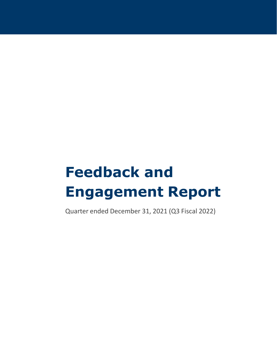# **Feedback and Engagement Report**

Quarter ended December 31, 2021 (Q3 Fiscal 2022)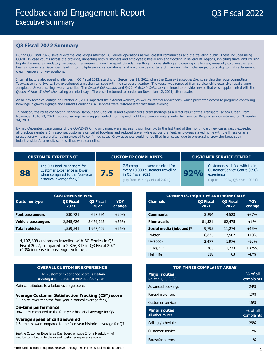## Q3 Fiscal 2022

#### **Q3 Fiscal 2022 Summary**

During Q3 Fiscal 2022, several external challenges affected BC Ferries' operations as well coastal communities and the traveling public. These included rising COVID-19 case counts across the province, impacting both customers and employees; heavy rain and flooding in several BC regions, inhibiting travel and causing logistical issues; a mandatory vaccination requirement from Transport Canada, resulting in some staffing and crewing challenges; unusually cold weather and heavy snow in late December, leading to multiple sailing cancellations; and a worldwide shortage of mariners, which challenged our ability to find replacement crew members for key positions.

Internal factors also posed challenges in Q3 Fiscal 2022, starting on September 28, 2021 when the Spirit of Vancouver Island, serving the route connecting Tsawwassen and Swartz Bay, experienced a mechanical issue with the starboard gearbox. The vessel was removed from service while extensive repairs were completed. Several sailings were cancelled. The Coastal Celebration and Spirit of British Columbia continued to provide service that was supplemented with the Queen of New Westminster sailing on select days. The vessel returned to service on November 12, 2021, after repairs.

An all-day technical outage on October 21, 2021 impacted the external website, as well as internal applications, which prevented access to programs controlling bookings, highway signage and Current Conditions. All services were restored later that same evening.

In addition, the route connecting Nanaimo Harbour and Gabriola Island experienced a crew shortage as a direct result of the Transport Canada Order. From November 15 to 23, 2021, reduced sailings were supplemented morning and night by a complimentary water taxi service. Regular service returned on November 24, 2021.

By mid-December, case counts of the COVID-19 Omicron variant were increasing significantly. In the last third of the month, daily new cases vastly exceeded all previous numbers. In response, customers cancelled bookings and reduced travel, while across the fleet, employees stayed home with the illness or as a precautionary measure after being exposed to confirmed cases. Crew absences could not be filled in all cases, due to pre-existing crew shortages seen industry-wide. As a result, some sailings were cancelled.

The Q3 Fiscal 2022 score for Customer Experience is lower when compared to the four-year historical average for Q3

**88**

#### **CUSTOMER EXPERIENCE CUSTOMER COMPLAINTS CUSTOMER SERVICE CENTRE**

**7.5**

7.5 complaints were received for every 10,000 customers travelling in Q3 Fiscal 2022

(Up from 6.5, Q3 Fiscal 2021)

**92%**

Customers satisfied with their Customer Service Centre (CSC) experience

(Up from 90%, Q3 Fiscal 2021)

|                           | <b>CUSTOMERS SERVED</b>  |                          |                      |
|---------------------------|--------------------------|--------------------------|----------------------|
| <b>Customer type</b>      | <b>Q3 Fiscal</b><br>2021 | <b>Q3 Fiscal</b><br>2022 | <b>YOY</b><br>change |
| <b>Foot passengers</b>    | 330.721                  | 628,564                  | $+90%$               |
| <b>Vehicle passengers</b> | 2,545,626                | 3,474,245                | $+36%$               |
| <b>Total vehicles</b>     | 1,559,541                | 1,967,409                | $+26%$               |

4,102,809 customers travelled with BC Ferries in Q3 Fiscal 2022, compared to 2,876,347 in Q3 Fiscal 2021 (43% increase in passenger volume).

#### **OVERALL CUSTOMER EXPERIENCE**

The customer experience score is **below average** compared to previous four years.

Main contributors to a below-average score:

#### **Average Customer Satisfaction Tracking (CST) score**

0.5 point lower than the four-year historical average for Q3

#### **On-time performance**

Down 4% compared to the four-year historical average for Q3

#### **Average speed of call answered**

4.6 times slower compared to the four-year historical average for Q3

See the Customer Experience Dashboard on page 2 for a breakdown of metrics contributing to the overall customer experience score.

\*Inbound customer inquiries received through BC Ferries social media channels.

| <b>CUSTOMERS SERVED</b>                                 |                          |                      |  |
|---------------------------------------------------------|--------------------------|----------------------|--|
| <b>Q3 Fiscal</b><br>2021                                | <b>Q3 Fiscal</b><br>2022 | <b>YOY</b><br>change |  |
| 330,721                                                 | 628,564                  | $+90%$               |  |
| 2,545,626                                               | 3,474,245                | $+36%$               |  |
| 1,559,541                                               | 1,967,409                | $+26%$               |  |
|                                                         |                          |                      |  |
| rs travelled with BC Ferries in Q3                      |                          |                      |  |
| red to 2,876,347 in Q3 Fiscal 2021<br>assenger volume). |                          |                      |  |
|                                                         |                          |                      |  |

| <b>TOP THREE COMPLAINT AREAS</b>          |                          |  |  |  |
|-------------------------------------------|--------------------------|--|--|--|
| <b>Major routes</b><br>Routes 1, 2, 3, 30 | $%$ of all<br>complaints |  |  |  |
| Advanced bookings                         | 24%                      |  |  |  |
| Fares/fare errors                         | 17%                      |  |  |  |
| Customer service                          | 15%                      |  |  |  |
| <b>Minor routes</b><br>All other routes   | $%$ of all<br>complaints |  |  |  |
| Sailings/schedule                         | 29%                      |  |  |  |
| Customer service                          | 12%                      |  |  |  |
| Fares/fare errors                         | 11%                      |  |  |  |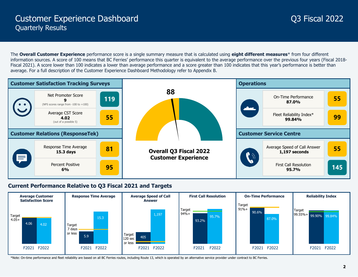The **Overall Customer Experience** performance score is a single summary measure that is calculated using **eight different measures**\* from four different information sources. A score of 100 means that BC Ferries' performance this quarter is equivalent to the average performance over the previous four years (Fiscal 2018- Fiscal 2021). A score lower than 100 indicates a lower than average performance and a score greater than 100 indicates that this year's performance is better than average. For a full description of the Customer Experience Dashboard Methodology refer to Appendix B.



### **Current Performance Relative to Q3 Fiscal 2021 and Targets**



\*Note: On-time performance and fleet reliability are based on all BC Ferries routes, including Route 13, which is operated by an alternative service provider under contract to BC Ferries.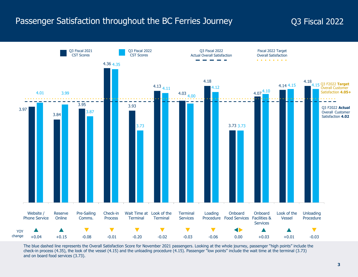## Passenger Satisfaction throughout the BC Ferries Journey **Q3** Fiscal 2022



The blue dashed line represents the Overall Satisfaction Score for November 2021 passengers. Looking at the whole journey, passenger "high points" include the check-in process (4.35), the look of the vessel (4.15) and the unloading procedure (4.15). Passenger "low points" include the wait time at the terminal (3.73) and on board food services (3.73).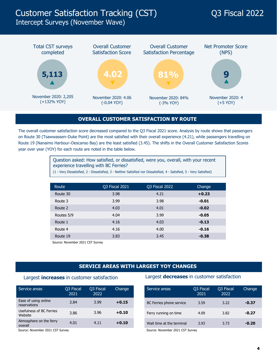## Customer Satisfaction Tracking (CST) Q3 Fiscal 2022

### Intercept Surveys (November Wave)



#### **OVERALL CUSTOMER SATISFACTION BY ROUTE**

The overall customer satisfaction score decreased compared to the Q3 Fiscal 2021 score. Analysis by route shows that passengers on Route 30 (Tsawwassen–Duke Point) are the most satisfied with their overall experience (4.21), while passengers travelling on Route 19 (Nanaimo Harbour–Descanso Bay) are the least satisfied (3.45). The shifts in the Overall Customer Satisfaction Scores year over year (YOY) for each route are noted in the table below.

> Question asked: How satisfied, or dissatisfied, were you, overall, with your recent experience travelling with BC Ferries?

(1 - Very Dissatisfied, 2 - Dissatisfied, 3 - Neither Satisfied nor Dissatisfied, 4 - Satisfied, 5 - Very Satisfied)

| <b>Q3 Fiscal 2021</b> | <b>Q3 Fiscal 2022</b> | Change  |
|-----------------------|-----------------------|---------|
| 3.98                  | 4.21                  | $+0.23$ |
| 3.99                  | 3.98                  | $-0.01$ |
| 4.03                  | 4.01                  | $-0.02$ |
| 4.04                  | 3.99                  | $-0.05$ |
| 4.16                  | 4.03                  | $-0.13$ |
| 4.16                  | 4.00                  | $-0.16$ |
| 3.83                  | 3.45                  | $-0.38$ |
|                       |                       |         |

Source: November 2021 CST Survey

#### **SERVICE AREAS WITH LARGEST YOY CHANGES**

| Service areas                        | <b>Q3 Fiscal</b><br>2021         | Q <sub>3</sub> Fiscal<br>2022 | Change  |  | Service areas             | O3 |
|--------------------------------------|----------------------------------|-------------------------------|---------|--|---------------------------|----|
| Ease of using online<br>reservations | 3.84                             | 3.99                          | $+0.15$ |  | BC Ferries phone service  |    |
| Usefulness of BC Ferries<br>Website  | 3.86                             | 3.96                          | $+0.10$ |  | Ferry running on time     |    |
| Atmosphere on the ferry<br>overall   | 4.01                             | 4.11                          | $+0.10$ |  | Wait time at the terminal |    |
| Source: November 2021 CST Survey     | Source: November 2021 CST Survey |                               |         |  |                           |    |

#### Largest **increases** in customer satisfaction Largest **decreases** in customer satisfaction

| Q3 Fiscal |                   |         |
|-----------|-------------------|---------|
| 2021      | Q3 Fiscal<br>2022 | Change  |
| 3.59      | 3.22              | $-0.37$ |
| 4.09      | 3.82              | $-0.27$ |
| 3.93      | 3.73              | $-0.20$ |
|           |                   |         |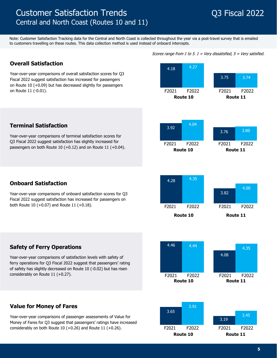### Customer Satisfaction Trends **Customer Satisfaction Trends Q3 Fiscal 2022** Central and North Coast (Routes 10 and 11)

Note: Customer Satisfaction Tracking data for the Central and North Coast is collected throughout the year via a post-travel survey that is emailed to customers travelling on these routes. This data collection method is used instead of onboard intercepts.

### **Overall Satisfaction**

Year-over-year comparisons of overall satisfaction scores for Q3 Fiscal 2022 suggest satisfaction has increased for passengers on Route 10 (+0.09) but has decreased slightly for passengers on Route 11 (-0.01).

Year-over-year comparisons of terminal satisfaction scores for Q3 Fiscal 2022 suggest satisfaction has slightly increased for passengers on both Route 10 (+0.12) and on Route 11 (+0.04).



Scores range from 1 to 5.  $1 =$  Very dissatisfied,  $5 =$  Very satisfied.

### F2021 F2022 F2021 F2022 **Route 10 Route 11** 3.92 4.04 3.76 3.80

### **Onboard Satisfaction**

**Terminal Satisfaction** 

Year-over-year comparisons of onboard satisfaction scores for Q3 Fiscal 2022 suggest satisfaction has increased for passengers on







### **Safety of Ferry Operations**

Year-over-year comparisons of satisfaction levels with safety of ferry operations for Q3 Fiscal 2022 suggest that passengers' rating of safety has slightly decreased on Route 10 (-0.02) but has risen considerably on Route 11 (+0.27).

### **Value for Money of Fares**

Year-over-year comparisons of passenger assessments of Value for Money of Fares for Q3 suggest that passengers' ratings have increased considerably on both Route 10 (+0.26) and Route 11 (+0.26). F2021 F2022 F2021 F2022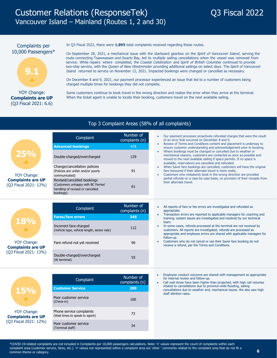#### Complaints per 10,000 Passengers\*



#### YOY Change: **Complaints are UP** (Q3 Fiscal 2021: 6.6)

**15%**  $\blacktriangle$ 

YOY Change: **Complaints are UP**  (Q3 Fiscal 2021: 12%) In Q3 Fiscal 2022, there were **1,895** total complaints received regarding these routes.

On September 28, 2021, a mechanical issue with the starboard gearbox on the Spirit of Vancouver Island, serving the route connecting Tsawwassen and Swartz Bay, led to multiple sailing cancellations when the vessel was removed from service. While repairs where completed, the Coastal Celebration and Spirit of British Columbia continued to provide two-ship service, with the Queen of New Westminster providing additional sailings on select days. The Spirit of Vancouver Island returned to service on November 12, 2021. Impacted bookings were changed or cancelled as necessary.

On December 8 and 9, 2021, our payment processor experienced an issue that led to a number of customers being charged multiple times for bookings they did not complete.

Some customers continue to book travel in the wrong direction and realize the error when they arrive at the terminal. When the ticket agent is unable to locate their booking, customers travel on the next available sailing.

#### Top 3 Complaint Areas (58% of all complaints)

| <b>25%</b><br>YOY Change:<br><b>Complaints are UP</b><br>(Q3 Fiscal 2021: 12%) | Complaint<br><b>Advanced bookings</b><br>Double-charged/overcharged<br>Change/cancellation policies<br>(Policies are unfair and/or poorly<br>communicated)<br>Revised/cancelled bookings<br>(Customers unhappy with BC Ferries'<br>handling of revised or cancelled<br>bookings) | Number of<br>complaints (n)<br>478<br>129<br>91<br>61 | Our payment processor proactively refunded charges that were the result<br>of an error that occurred on December 8 and 9.<br>Review of Terms and Conditions content and placement is underway to<br>ensure customer understanding and acknowledgement prior to booking.<br>Where bookings must be changed or cancelled due to weather or<br>mechanical reasons, customers are contacted as soon as possible and<br>moved to the next available sailing if space permits. If no space is<br>available, reservations are cancelled and refunded.<br>When Saver fare bookings are cancelled, customers will have the original<br>fare honoured if their alternate travel is more costly.<br>Customers who mistakenly book in the wrong direction are provided<br>partial refunds on a case-by-case basis, on provision of their receipts from<br>their alternate travel. |
|--------------------------------------------------------------------------------|----------------------------------------------------------------------------------------------------------------------------------------------------------------------------------------------------------------------------------------------------------------------------------|-------------------------------------------------------|-----------------------------------------------------------------------------------------------------------------------------------------------------------------------------------------------------------------------------------------------------------------------------------------------------------------------------------------------------------------------------------------------------------------------------------------------------------------------------------------------------------------------------------------------------------------------------------------------------------------------------------------------------------------------------------------------------------------------------------------------------------------------------------------------------------------------------------------------------------------------|
| 18%<br>YOY Change:<br><b>Complaints are UP</b><br>(O3 Fiscal 2021: 13%)        | Complaint<br><b>Fares/fare errors</b>                                                                                                                                                                                                                                            | Number of<br>complaints (n)<br>345                    | All reports of fare or fee errors are investigated and refunded as<br>appropriate.<br>Transaction errors are reported to applicable managers for coaching and<br>training; system issues are investigated and resolved by our technical                                                                                                                                                                                                                                                                                                                                                                                                                                                                                                                                                                                                                               |
|                                                                                | Incorrect fare charged<br>(Vehicle type, vehicle length, senior rate)                                                                                                                                                                                                            | 112                                                   | team.<br>In some cases, refunds processed at the terminal are not received by<br>customers. All reports are investigated, refunds are processed as<br>appropriate and employee errors are shared with applicable managers for                                                                                                                                                                                                                                                                                                                                                                                                                                                                                                                                                                                                                                         |
|                                                                                | Fare refund not yet received                                                                                                                                                                                                                                                     | 96                                                    | follow-up.<br>Customers who do not cancel or use their Saver fare booking do not<br>receive a refund, per the Terms and Conditions.                                                                                                                                                                                                                                                                                                                                                                                                                                                                                                                                                                                                                                                                                                                                   |
|                                                                                | Double-charged/overcharged<br>(At terminal)                                                                                                                                                                                                                                      | 55                                                    |                                                                                                                                                                                                                                                                                                                                                                                                                                                                                                                                                                                                                                                                                                                                                                                                                                                                       |
|                                                                                | Complaint                                                                                                                                                                                                                                                                        | Number of<br>complaints (n)                           | Employee conduct concerns are shared with management as appropriate<br>for internal review and follow-up.<br>Call wait times have been higher than projected, with high call volumes<br>$\bullet$                                                                                                                                                                                                                                                                                                                                                                                                                                                                                                                                                                                                                                                                     |

Call wait times have been higher than projected, with high call volumes related to cancellations due to province-wide flooding, sailing cancellations due to weather and, mechanical issues. We also saw high staff attrition rates.

**Customer Service 289**

Poor customer service<br>(Check-in) 100

Priorie service complaints<br>(Wait times to speak to agent) 73

Pool customer service<br>Terminal staff) 34

Poor customer service

Phone service complaints

Poor customer service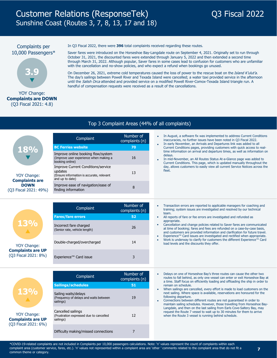## Customer Relations (ResponseTek) Q3 Fiscal 2022 Sunshine Coast (Routes 3, 7, 8, 13, 17 and 18)



#### Complaints per 10,000 Passengers\*



#### YOY Change: **Complaints are DOWN** (Q3 Fiscal 2021: 4.8)

In Q3 Fiscal 2022, there were **396** total complaints received regarding these routes.

Saver fares were introduced on the Horseshoe Bay-Langdale route on September 4, 2021. Originally set to run through October 31, 2021, the discounted fares were extended through January 5, 2022 and then extended a second time through March 31, 2022. Although popular, Saver fares in some cases lead to confusion for customers who are unfamiliar with the cancellation and no-show policies, and who expect a refund when bookings go unused.

On December 26, 2021, extreme cold temperatures caused the loss of power to the rescue boat on the Island K'ulut'a. The day's sailings between Powell River and Texada Island were cancelled; a water taxi provided service in the afternoon until the Salish Orca attended and provided service on a modified Powell River-Comox-Texada Island triangle run. A handful of compensation requests were received as a result of the cancellations.

#### Top 3 Complaint Areas (44% of all complaints)

| <b>18%</b><br>YOY Change:<br><b>Complaints are</b> | Complaint                                                                                                            | Number of<br>complaints (n) |  |        | In August, a software fix was implemented to address Current Conditions<br>inaccuracies, no further issues have been noted in Q3 Fiscal 2022.<br>In early November, an Arrivals and Departures link was added to all                    |
|----------------------------------------------------|----------------------------------------------------------------------------------------------------------------------|-----------------------------|--|--------|-----------------------------------------------------------------------------------------------------------------------------------------------------------------------------------------------------------------------------------------|
|                                                    | <b>BC Ferries website</b>                                                                                            | 70                          |  |        | Current Conditions pages, providing customers with quick access to real-                                                                                                                                                                |
|                                                    | Improve online booking flow/system<br>(Improve user experience when making a<br>booking online)                      | 16                          |  |        | time information on arrival and departure times, as well as information on<br>delays.<br>In mid-November, an All Routes Status At-a-Glance page was added to<br>Current Conditions. This page, which is updated manually throughout the |
|                                                    | <b>Improve Current Conditions/service</b><br>updates<br>(Ensure information is accurate, relevant<br>and up to date) | 13                          |  | fleet. | day, allows customers to easily view all current Service Notices across the                                                                                                                                                             |
| <b>DOWN</b><br>(O3 Fiscal 2021: 49%)               | Improve ease of navigation/ease of<br>finding information                                                            |                             |  |        |                                                                                                                                                                                                                                         |

•

|                                                  | Complaint                                               |    |
|--------------------------------------------------|---------------------------------------------------------|----|
|                                                  | <b>Fares/fare errors</b>                                | 52 |
| 13%                                              | Incorrect fare charged<br>(Senior rate, vehicle length) | 26 |
| YOY Change:                                      | Double-charged/overcharged                              | 14 |
| <b>Complaints are UP</b><br>(Q3 Fiscal 2021: 8%) | Experience™ Card issue                                  | 3  |

- Transaction errors are reported to applicable managers for coaching and training; system issues are investigated and resolved by our technical team.
- All reports of fare or fee errors are investigated and refunded as appropriate.
- Cancellation and change policies related to Saver fares are communicated at time of booking; fares and fees are refunded on a case-by-case basis, and customers are provided information and clarification for future travel.
- Experience™ Card issues are investigated and rectified when appropriate. Work is underway to clarify for customers the different Experience™ Card load levels and the discounts they offer. • •



YOY Change: **Complaints are UP**  (Q3 Fiscal 2021: 6%)

| Complaint                                                                   | Number of<br>complaints (n) |
|-----------------------------------------------------------------------------|-----------------------------|
| <b>Sailings/schedules</b>                                                   | 51                          |
| Sailing waits/delays<br>(Frequency of delays and waits between<br>sailings) | 19                          |
| Cancelled sailings<br>(Frustration expressed due to cancelled<br>sailings)  | $12 \overline{ }$           |
| Difficulty making/missed connections                                        |                             |

- Delays on one of Horseshoe Bay's three routes can cause the other two routes to fall behind, as only one vessel can enter or exit Horseshoe Bay at a time. Staff focus on efficiently loading and offloading the ship in order to remain on schedule.
- When sailings are cancelled, every effort is made to load customers on the next sailing. Where space is available, reservations are honoured for the following departure.
- Connections between different routes are not guaranteed in order to maintain sailing schedules. However, those travelling from Horseshoe Bay-Langdale, and then on the last sailing from Earls Cove-Saltery Bay, may request the Route 7 vessel to wait up to 30 minutes for them to arrive when the Route 3 vessel is running behind schedule. •

\*COVID-19-related complaints are not included in Complaints per 10,000 passengers calculations. Note: 'n' values represent the count of complaints within each complaint area (customer service, fares, etc.). 'n' values not represented within a complaint area are 'other ' comments related to the complaint area that do not fit a common theme or category.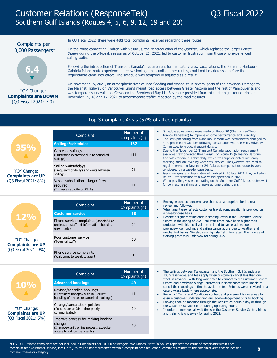#### Complaints per 10,000 Passengers\*



#### YOY Change: **Complaints are DOWN** (Q3 Fiscal 2021: 7.0)

In Q3 Fiscal 2022, there were **482** total complaints received regarding these routes.

On the route connecting Crofton with Vesuvius, the reintroduction of the Quinitsa, which replaced the larger Bowen Queen during the off-peak season as of October 21, 2021, led to customer frustration from those who experienced sailing waits.

Following the introduction of Transport Canada's requirement for mandatory crew vaccinations, the Nanaimo Harbour-Gabriola Island route experienced a crew shortage that, unlike other routes, could not be addressed before the requirement came into effect. The schedule was temporarily adjusted as a result.

On November 15, 2021, an atmospheric river caused flooding and washouts in several parts of the province. Damage to the Malahat Highway on Vancouver Island meant road access between Greater Victoria and the rest of Vancouver Island was temporarily unavailable. Crews on the Brentwood Bay-Mill Bay route provided four extra late-night round trips on November 15, 16 and 17, 2021 to accommodate traffic impacted by the road closures.

#### Top 3 Complaint Areas (57% of all complaints)

| <b>35%</b><br>YOY Change:<br><b>Complaints are UP</b> | Complaint<br><b>Sailings/schedules</b>                                         | Number of<br>complaints (n)<br>167 |                                                                                                                                                                                                    | Schedule adjustments were made on Route 20 (Chemainus–Thetis<br>Island-Penelakut) to improve on-time performance and reliability.<br>The 3:45 pm sailing from Nanaimo Harbour was permanently changed to<br>4:00 pm in early October following consultation with the Ferry Advisory                                             |
|-------------------------------------------------------|--------------------------------------------------------------------------------|------------------------------------|----------------------------------------------------------------------------------------------------------------------------------------------------------------------------------------------------|---------------------------------------------------------------------------------------------------------------------------------------------------------------------------------------------------------------------------------------------------------------------------------------------------------------------------------|
|                                                       | Cancelled sailings<br>(Frustration expressed due to cancelled<br>sailings)     | 111                                |                                                                                                                                                                                                    | Committee, to reduce frequent delays.<br>Due to the November 15 Transport Canada vaccination requirement,<br>available crew operated the Quinsam on Route 19 (Nanaimo Harbour-<br>Gabriola) for one full shift daily, which was supplemented with early<br>morning and late evening water taxi service. The Quinsam returned to |
|                                                       | Sailing waits/delays<br>(Frequency of delays and waits between<br>sailings)    | 21                                 |                                                                                                                                                                                                    | regular service on November 24. Related compensation requests were<br>considered on a case-by-case basis.<br>Island Kwigwis and Island Gwawis arrived in BC late 2021, they will allow                                                                                                                                          |
| (Q3 Fiscal 2021: 8%)                                  | Vessel substitution - larger ferry<br>required<br>(Increase capacity on Rt. 6) | 11                                 | Route 19 to transition to a two-vessel operation in 2022.<br>When possible, vessels operating on the Southern Gulf Islands routes wait<br>for connecting sailings and make up time during transit. |                                                                                                                                                                                                                                                                                                                                 |

|                                                                                            | Complaint                                                                                          | Number of<br>complaints (n) |           | Employee conduct concerns are shared as appropriate for internal<br>review and follow-up.<br>When agent error affects customer travel, compensation is provided on                                                                                                                            |
|--------------------------------------------------------------------------------------------|----------------------------------------------------------------------------------------------------|-----------------------------|-----------|-----------------------------------------------------------------------------------------------------------------------------------------------------------------------------------------------------------------------------------------------------------------------------------------------|
| 12%<br>$\blacktriangle$<br>YOY Change:<br><b>Complaints are UP</b><br>(Q3 Fiscal 2021: 9%) | <b>Customer service</b>                                                                            | 58                          |           | a case-by-case basis.                                                                                                                                                                                                                                                                         |
|                                                                                            | Phone service complaints (Unhelpful or<br>unpleasant staff, misinformation, booking<br>error made) | 14                          | $\bullet$ | Despite a significant increase in staffing levels in the Customer Service<br>Centre in the spring of 2021, call wait times have been higher than<br>projected, with high call volumes related to cancellations due to<br>province-wide flooding, and sailing cancellations due to weather and |
|                                                                                            | Poor customer service<br>(Terminal staff)                                                          | 10                          |           | mechanical issues. We also saw high staff attrition rates. The hiring and<br>training process is underway for spring 2022.                                                                                                                                                                    |
|                                                                                            | Phone service complaints<br>(Wait times to speak to agent)                                         | 9                           |           |                                                                                                                                                                                                                                                                                               |



**Complaints are UP**  (Q3 Fiscal 2021: 5%)

| Complaint                                                                                                                   | Number of<br>complaints (n) |
|-----------------------------------------------------------------------------------------------------------------------------|-----------------------------|
| <b>Advanced bookings</b>                                                                                                    | 49                          |
| Revised/cancelled bookings<br>(Customers unhappy with BC Ferries'<br>handling of revised or cancelled bookings)             | 11                          |
| Change/cancellation policies<br>(Policies are unfair and/or poorly<br>communicated)                                         | 10                          |
| Improve process for making booking<br>changes<br>(Improve/clarify online process, expedite<br>access to call centre agents) | 10                          |

- The sailings between Tsawwassen and the Southern Gulf Islands are 100%reservable, and fees apply when customers cancel less than one week in advance. With long wait times to connect to the Customer Service Centre and a website outage, customers in some cases were unable to cancel their bookings in time to avoid the fee. Refunds were provided on a case-by-case basis where appropriate.
- Review of Terms and Conditions content and placement is underway to ensure customer understanding and acknowledgement prior to booking
- Bookings can be modified through the website 24 hours a day or through the Customer Service Centre during operating hours.
- In order to improve call wait times in the Customer Service Centre, hiring and training is underway for spring 2022.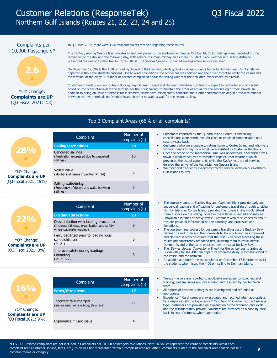## Customer Relations (ResponseTek) Q3 Fiscal 2022 Northern Gulf Islands (Routes 21, 22, 23, 24 and 25)

#### Complaints per 10,000 Passengers\*



### **Complaints are UP** (Q3 Fiscal 2021: 2.3)

In Q3 Fiscal 2022, there were **104** total complaints received regarding these routes.

The Tachek, serving Quadra Island-Cortes Island, lost power to the starboard engine on October 14, 2021. Sailings were cancelled for the remainder of the day and the following day, with service resuming midday on October 16, 2021. Poor weather and sailing distance prevented the use of a water taxi to Cortes Island. The Quadra Queen II provided sailings when service resumed.

On December 17, 2021, the 4:00 pm sailing departing Buckley Bay, which typically carries students home to Denman and Hornby Islands, departed without the students onboard. Due to winter conditions, the school bus was delayed and the driver forgot to notify the vessel and the terminal of the delay. A number of parents complained about the sailing wait that their children experienced as a result.

Customers travelling on two routes – Buckley Bay-Denman Island and Denman Island-Hornby Island – expect to be loaded and offloaded based on the order of arrival at the terminal for their first sailing, to maintain the order of arrival for the second leg of their travels. In addition to being an issue of fairness for customers, some have raised safety concerns about other customers driving in a reckless manner between the two terminals on Denman Island in order to avoid a wait for the second sailing.

### Top 3 Complaint Areas (66% of all complaints)

|                                                             | Complaint                                                                   | Number of<br>complaints (n) |
|-------------------------------------------------------------|-----------------------------------------------------------------------------|-----------------------------|
|                                                             | <b>Sailings/schedules</b>                                                   | 29                          |
| 28%<br><b>AV</b><br>YOY Change:<br><b>Complaints are UP</b> | Cancelled sailings<br>(Frustration expressed due to cancelled<br>sailings)  | 16                          |
|                                                             | Vessel issue<br>(Mechanical issues impacting Rt. 24)                        |                             |
| (Q3 Fiscal 2021: 19%)                                       | Sailing waits/delays<br>(Frequency of delays and waits between<br>sailings) |                             |

|                                                                        | Complaint                                                                                                        | Number of<br>complaints (n) |  | The courtesy lanes at Buckley Bay and Campbell River provide early and<br>sequential loading and offloading for customers travelling through to either<br>Hornby Island or Cortes Island, provided their place in line would afford                                                               |
|------------------------------------------------------------------------|------------------------------------------------------------------------------------------------------------------|-----------------------------|--|---------------------------------------------------------------------------------------------------------------------------------------------------------------------------------------------------------------------------------------------------------------------------------------------------|
| 22%<br>YOY Change:<br><b>Complaints are UP</b><br>(Q3 Fiscal 2021: 3%) | <b>Loading/directions</b>                                                                                        | 23                          |  | them a space on the sailing. Space in these lanes is limited and may be<br>unavailable in times of heavy traffic. Customers who raise concerns about                                                                                                                                              |
|                                                                        | Dissatisfaction with loading procedure<br>(Increase fairness, organization and safety<br>when loading/unloading) |                             |  | this are provided information on the courtesy lane processes and<br>limitations.<br>The courtesy lane process for customers travelling via the Buckley Bay-                                                                                                                                       |
|                                                                        | Ferry departed prior to loading local<br>schoolchildren<br>(Rt. 21)                                              |                             |  | Denman Island route and then onwards to Hornby Island was improved<br>and clarified in order to ensure that the first 12 vehicles travelling these<br>routes are consistently offloaded first, allowing them to travel across<br>Denman Island in the same order as their arrival at Buckley Bay. |
|                                                                        | Improve safety during loading/<br>unloading<br>(Rt. 21 & 22)                                                     |                             |  | The Baynes Sound Connector will wait for the school bus to arrive at<br>Buckley Bay for the 4:00 pm departure when the delay is communicated to<br>the vessel and the terminal.<br>An additional round trip was completed on December 17 in order to assist                                       |
|                                                                        |                                                                                                                  |                             |  | the students who missed the 4:00 pm sailing to Denman Island.                                                                                                                                                                                                                                     |

| 11697                                                                  |
|------------------------------------------------------------------------|
| <b>YOY Change:</b><br><b>Complaints are UP</b><br>(Q3 Fiscal 2021: 9%) |

| Complaint                                                        | Number of<br>complaints (n) |
|------------------------------------------------------------------|-----------------------------|
| <b>Fares/fare errors</b>                                         | 17                          |
| Incorrect fare charged<br>(Senior rate, vehicle type, thru fare) | 11                          |
| Experience™ Card issue                                           |                             |

- Trends in errors are reported to applicable managers for coaching and training; system issues are investigated and resolved by our technical team.
- All reports of erroneous charges are investigated and refunded as appropriate.
- Experience™ Card issues are investigated and rectified when appropriate. Fare disputes with the Experience™ Card tend to involve incorrect savings type; customers are provided an explanation of the different load levels and the discounts they provide. Vouchers are provided on a case-by-case basis in lieu of refunds, where appropriate.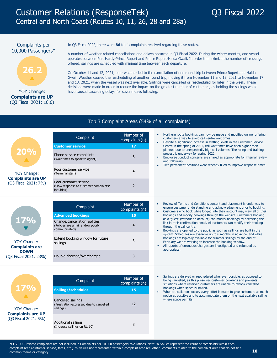#### Complaints per 10,000 Passengers\*



#### YOY Change: **Complaints are UP** (Q3 Fiscal 2021: 16.6)

In Q3 Fiscal 2022, there were **86** total complaints received regarding these routes.

A number of weather-related cancellations and delays occurred in Q3 Fiscal 2022. During the winter months, one vessel operates between Port Hardy-Prince Rupert and Prince Rupert-Haida Gwaii. In order to maximize the number of crossings offered, sailings are scheduled with minimal time between each departure.

On October 11 and 12, 2021, poor weather led to the cancellation of one round trip between Prince Rupert and Haida Gwaii. Weather caused the rescheduling of another round trip, moving it from November 11 and 12, 2021 to November 17 and 18, 2021, when the vessel was next available. Sailings were cancelled or rescheduled for later in the week. These decisions were made in order to reduce the impact on the greatest number of customers, as holding the sailings would have caused cascading delays for several days following.

#### Top 3 Complaint Areas (54% of all complaints)

|                                         | Complaint                                                                     | Number of<br>complaints (n) |
|-----------------------------------------|-------------------------------------------------------------------------------|-----------------------------|
|                                         | <b>Customer service</b>                                                       | 17                          |
| <b>20%</b><br>$\Delta$                  | Phone service complaints<br>(Wait times to speak to agent)                    | 8                           |
| YOY Change:<br><b>Complaints are UP</b> | Poor customer service<br>(Terminal staff)                                     | 4                           |
| (Q3 Fiscal 2021: 7%)                    | Poor customer service<br>(Slow response to customer complaints/<br>inguiries) |                             |

|                                                                                     | Complaint                                                                           | Number of<br>complaints (n) |  | Review of Terms and Conditions content and placement is underway to<br>ensure customer understanding and acknowledgement prior to booking.<br>Customers who book while logged into their account may view all of their                                                                     |
|-------------------------------------------------------------------------------------|-------------------------------------------------------------------------------------|-----------------------------|--|--------------------------------------------------------------------------------------------------------------------------------------------------------------------------------------------------------------------------------------------------------------------------------------------|
| 17%<br>YOY Change:<br><b>Complaints are</b><br><b>DOWN</b><br>(Q3 Fiscal 2021: 23%) | <b>Advanced bookings</b>                                                            | 15                          |  | bookings and modify bookings through the website. Customers booking                                                                                                                                                                                                                        |
|                                                                                     | Change/cancellation policies<br>(Policies are unfair and/or poorly<br>communicated) |                             |  | as a 'quest' (without an account) can modify bookings by accessing the<br>link in their confirmation email. All customers can modify their booking<br>through the call centre.<br>Bookings are opened to the public as soon as sailings are built in the                                   |
|                                                                                     | Extend booking window for future<br>sailings                                        |                             |  | system. Schedules are available up to 6 months in advance, and while<br>bookings are typically available for summer sailings by the end of<br>February we are working to increase the booking window.<br>All reports of erroneous charges are investigated and refunded as<br>appropriate. |
|                                                                                     | Double-charged/overcharged                                                          |                             |  |                                                                                                                                                                                                                                                                                            |



| Complaint                                                                  | Number of<br>complaints (n) |
|----------------------------------------------------------------------------|-----------------------------|
| Sailings/schedules                                                         | 15                          |
| Cancelled sailings<br>(Frustration expressed due to cancelled<br>sailings) | 12                          |
| Additional sailings<br>(Increase sailings on Rt. 10)                       | 3                           |

- Sailings are delayed or rescheduled whenever possible, as opposed to being cancelled, as this preserves customer bookings and prevents situations where reserved customers are unable to rebook cancelled bookings when space is limited.
- When cancellations occur, every effort is made to give customers as much notice as possible and to accommodate them on the next available sailing where space permits.

\*COVID-19-related complaints are not included in Complaints per 10,000 passengers calculations. Note: 'n' values represent the count of complaints within each complaint area (customer service, fares, etc.). 'n' values not represented within a complaint area are 'other ' comments related to the complaint area that do not fit a common theme or category.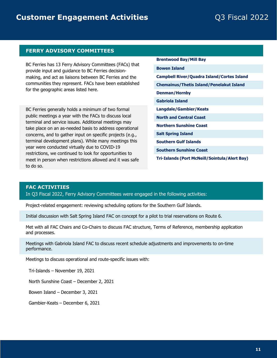#### **FERRY ADVISORY COMMITTEES**

BC Ferries has 13 Ferry Advisory Committees (FACs) that provide input and guidance to BC Ferries decisionmaking, and act as liaisons between BC Ferries and the communities they represent. FACs have been established for the geographic areas listed here.

BC Ferries generally holds a minimum of two formal public meetings a year with the FACs to discuss local terminal and service issues. Additional meetings may take place on an as-needed basis to address operational concerns, and to gather input on specific projects (e.g., terminal development plans). While many meetings this year were conducted virtually due to COVID-19 restrictions, we continued to look for opportunities to meet in person when restrictions allowed and it was safe to do so.

- **Brentwood Bay/Mill Bay**
- **Bowen Island**
- **Campbell River/Quadra Island/Cortes Island**
- **Chemainus/Thetis Island/Penelakut Island**
- **Denman/Hornby**
- **Gabriola Island**
- **Langdale/Gambier/Keats**
- **North and Central Coast**
- **Northern Sunshine Coast**
- **Salt Spring Island**
- **Southern Gulf Islands**
- **Southern Sunshine Coast**
- **Tri-Islands (Port McNeill/Sointula/Alert Bay)**

#### **FAC ACTIVITIES**

In Q3 Fiscal 2022, Ferry Advisory Committees were engaged in the following activities:

Project-related engagement: reviewing scheduling options for the Southern Gulf Islands.

Initial discussion with Salt Spring Island FAC on concept for a pilot to trial reservations on Route 6.

Met with all FAC Chairs and Co-Chairs to discuss FAC structure, Terms of Reference, membership application and processes.

Meetings with Gabriola Island FAC to discuss recent schedule adjustments and improvements to on-time performance.

Meetings to discuss operational and route-specific issues with:

Tri-Islands – November 19, 2021

North Sunshine Coast – December 2, 2021

Bowen Island – December 3, 2021

Gambier-Keats – December 6, 2021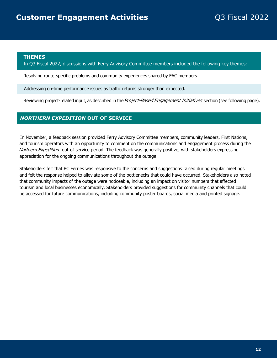#### **THEMES**

#### In Q3 Fiscal 2022, discussions with Ferry Advisory Committee members included the following key themes:

Resolving route-specific problems and community experiences shared by FAC members.

Addressing on-time performance issues as traffic returns stronger than expected.

Reviewing project-related input, as described in the Project-Based Engagement Initiatives section (see following page).

#### *NORTHERN EXPEDITION* **OUT OF SERVICE**

In November, a feedback session provided Ferry Advisory Committee members, community leaders, First Nations, and tourism operators with an opportunity to comment on the communications and engagement process during the Northern Expedition out-of-service period. The feedback was generally positive, with stakeholders expressing appreciation for the ongoing communications throughout the outage.

Stakeholders felt that BC Ferries was responsive to the concerns and suggestions raised during regular meetings and felt the response helped to alleviate some of the bottlenecks that could have occurred. Stakeholders also noted that community impacts of the outage were noticeable, including an impact on visitor numbers that affected tourism and local businesses economically. Stakeholders provided suggestions for community channels that could be accessed for future communications, including community poster boards, social media and printed signage.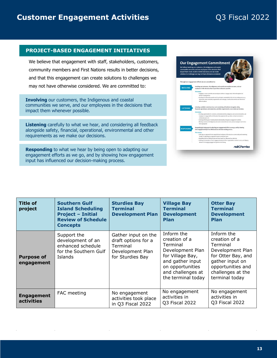### **Customer Engagement Activities Customer Engagement Activities Q3 Fiscal 2022**

#### **PROJECT-BASED ENGAGEMENT INITIATIVES**

We believe that engagement with staff, stakeholders, customers, community members and First Nations results in better decisions, and that this engagement can create solutions to challenges we may not have otherwise considered. We are committed to:

**Involving** our customers, the Indigenous and coastal communities we serve, and our employees in the decisions that impact them whenever possible.

**Listening** carefully to what we hear, and considering all feedback alongside safety, financial, operational, environmental and other requirements as we make our decisions.

**Responding** to what we hear by being open to adapting our engagement efforts as we go, and by showing how engagement input has influenced our decision-making process.



| <b>Title of</b><br>project             | <b>Southern Gulf</b><br><b>Island Scheduling</b><br><b>Project - Initial</b><br><b>Review of Schedule</b><br><b>Concepts</b> | <b>Sturdies Bay</b><br><b>Terminal</b><br><b>Development Plan</b>                              | <b>Village Bay</b><br><b>Terminal</b><br><b>Development</b><br><b>Plan</b>                                                                                         | <b>Otter Bay</b><br><b>Terminal</b><br><b>Development</b><br><b>Plan</b>                                                                                         |
|----------------------------------------|------------------------------------------------------------------------------------------------------------------------------|------------------------------------------------------------------------------------------------|--------------------------------------------------------------------------------------------------------------------------------------------------------------------|------------------------------------------------------------------------------------------------------------------------------------------------------------------|
| <b>Purpose of</b><br>engagement        | Support the<br>development of an<br>enhanced schedule<br>for the Southern Gulf<br>Islands                                    | Gather input on the<br>draft options for a<br>Terminal<br>Development Plan<br>for Sturdies Bay | Inform the<br>creation of a<br>Terminal<br>Development Plan<br>for Village Bay,<br>and gather input<br>on opportunities<br>and challenges at<br>the terminal today | Inform the<br>creation of a<br>Terminal<br>Development Plan<br>for Otter Bay, and<br>gather input on<br>opportunities and<br>challenges at the<br>terminal today |
| <b>Engagement</b><br><b>activities</b> | FAC meeting                                                                                                                  | No engagement<br>activities took place<br>in Q3 Fiscal 2022                                    | No engagement<br>activities in<br><b>Q3 Fiscal 2022</b>                                                                                                            | No engagement<br>activities in<br>Q3 Fiscal 2022                                                                                                                 |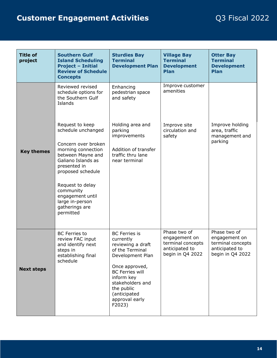## **Customer Engagement Activities Customer Engagement Activities Q3 Fiscal 2022**

| <b>Title of</b><br>project | <b>Southern Gulf</b><br><b>Island Scheduling</b><br><b>Project - Initial</b><br><b>Review of Schedule</b><br><b>Concepts</b>                                                                                                                                              | <b>Sturdies Bay</b><br><b>Terminal</b><br><b>Development Plan</b>                                                                                                                                                                     | <b>Village Bay</b><br><b>Terminal</b><br><b>Development</b><br>Plan                      | <b>Otter Bay</b><br><b>Terminal</b><br><b>Development</b><br>Plan                        |
|----------------------------|---------------------------------------------------------------------------------------------------------------------------------------------------------------------------------------------------------------------------------------------------------------------------|---------------------------------------------------------------------------------------------------------------------------------------------------------------------------------------------------------------------------------------|------------------------------------------------------------------------------------------|------------------------------------------------------------------------------------------|
|                            | Reviewed revised<br>schedule options for<br>the Southern Gulf<br>Islands                                                                                                                                                                                                  | Enhancing<br>pedestrian space<br>and safety                                                                                                                                                                                           | Improve customer<br>amenities                                                            |                                                                                          |
| <b>Key themes</b>          | Request to keep<br>schedule unchanged<br>Concern over broken<br>morning connection<br>between Mayne and<br>Galiano Islands as<br>presented in<br>proposed schedule<br>Request to delay<br>community<br>engagement until<br>large in-person<br>gatherings are<br>permitted | Holding area and<br>parking<br>improvements<br>Addition of transfer<br>traffic thru lane<br>near terminal                                                                                                                             | Improve site<br>circulation and<br>safety                                                | Improve holding<br>area, traffic<br>management and<br>parking                            |
| <b>Next steps</b>          | <b>BC</b> Ferries to<br>review FAC input<br>and identify next<br>steps in<br>establishing final<br>schedule                                                                                                                                                               | <b>BC</b> Ferries is<br>currently<br>reviewing a draft<br>of the Terminal<br>Development Plan<br>Once approved,<br><b>BC Ferries will</b><br>inform key<br>stakeholders and<br>the public<br>(anticipated<br>approval early<br>F2023) | Phase two of<br>engagement on<br>terminal concepts<br>anticipated to<br>begin in Q4 2022 | Phase two of<br>engagement on<br>terminal concepts<br>anticipated to<br>begin in Q4 2022 |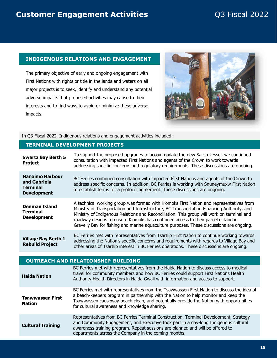#### **INDIGENOUS RELATIONS AND ENGAGEMENT**

The primary objective of early and ongoing engagement with First Nations with rights or title in the lands and waters on all major projects is to seek, identify and understand any potential adverse impacts that proposed activities may cause to their interests and to find ways to avoid or minimize these adverse impacts.



In Q3 Fiscal 2022, Indigenous relations and engagement activities included:

#### **TERMINAL DEVELOPMENT PROJECTS**

| <b>Swartz Bay Berth 5</b><br><b>Project</b>                                     | To support the proposed upgrades to accommodate the new Salish vessel, we continued<br>consultation with impacted First Nations and agents of the Crown to work towards<br>addressing specific concerns and regulatory requirements. These discussions are ongoing.                                                                                                                                                                                                |
|---------------------------------------------------------------------------------|--------------------------------------------------------------------------------------------------------------------------------------------------------------------------------------------------------------------------------------------------------------------------------------------------------------------------------------------------------------------------------------------------------------------------------------------------------------------|
| <b>Nanaimo Harbour</b><br>and Gabriola<br><b>Terminal</b><br><b>Development</b> | BC Ferries continued consultation with impacted First Nations and agents of the Crown to<br>address specific concerns. In addition, BC Ferries is working with Snuneymuxw First Nation<br>to establish terms for a protocol agreement. These discussions are ongoing.                                                                                                                                                                                              |
| <b>Denman Island</b><br><b>Terminal</b><br><b>Development</b>                   | A technical working group was formed with K'omoks First Nation and representatives from<br>Ministry of Transportation and Infrastructure, BC Transportation Financing Authority, and<br>Ministry of Indigenous Relations and Reconciliation. This group will work on terminal and<br>roadway designs to ensure K'omoks has continued access to their parcel of land in<br>Gravelly Bay for fishing and marine aquaculture purposes. These discussions are ongoing. |
| <b>Village Bay Berth 1</b><br><b>Rebuild Project</b>                            | BC Ferries met with representatives from Tsartlip First Nation to continue working towards<br>addressing the Nation's specific concerns and requirements with regards to Village Bay and<br>other areas of Tsartlip interest in BC Ferries operations. These discussions are ongoing.                                                                                                                                                                              |
|                                                                                 | <b>OUTREACH AND RELATIONSHIP-BUILDING</b>                                                                                                                                                                                                                                                                                                                                                                                                                          |
| <b>Haida Nation</b>                                                             | BC Ferries met with representatives from the Haida Nation to discuss access to medical<br>travel for community members and how BC Ferries could support First Nations Health<br>Authority Health Directors in Haida Gwaii with information and access to support.                                                                                                                                                                                                  |
| <b>Tsawwassen First</b><br><b>Nation</b>                                        | BC Ferries met with representatives from the Tsawwassen First Nation to discuss the idea of<br>a beach-keepers program in partnership with the Nation to help monitor and keep the<br>Tsawwassen causeway beach clean, and potentially provide the Nation with opportunities<br>for cultural awareness and knowledge sharing.                                                                                                                                      |
|                                                                                 | Representatives from BC Ferries Terminal Construction, Terminal Development, Strategy                                                                                                                                                                                                                                                                                                                                                                              |
|                                                                                 |                                                                                                                                                                                                                                                                                                                                                                                                                                                                    |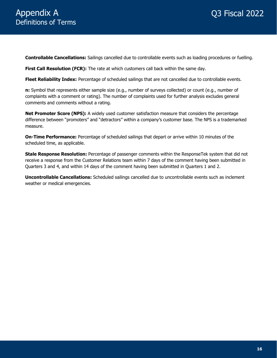**Controllable Cancellations:** Sailings cancelled due to controllable events such as loading procedures or fuelling.

**First Call Resolution (FCR):** The rate at which customers call back within the same day.

**Fleet Reliability Index:** Percentage of scheduled sailings that are not cancelled due to controllable events.

**n:** Symbol that represents either sample size (e.g., number of surveys collected) or count (e.g., number of complaints with a comment or rating). The number of complaints used for further analysis excludes general comments and comments without a rating.

**Net Promoter Score (NPS):** A widely used customer satisfaction measure that considers the percentage difference between "promoters" and "detractors" within a company's customer base. The NPS is a trademarked measure.

**On-Time Performance:** Percentage of scheduled sailings that depart or arrive within 10 minutes of the scheduled time, as applicable.

**Stale Response Resolution:** Percentage of passenger comments within the ResponseTek system that did not receive a response from the Customer Relations team within 7 days of the comment having been submitted in Quarters 3 and 4, and within 14 days of the comment having been submitted in Quarters 1 and 2.

**Uncontrollable Cancellations:** Scheduled sailings cancelled due to uncontrollable events such as inclement weather or medical emergencies.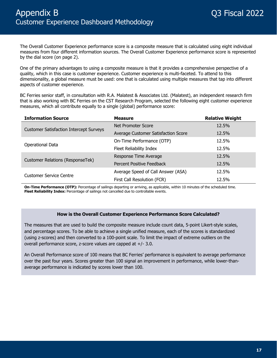The Overall Customer Experience performance score is a composite measure that is calculated using eight individual measures from four different information sources. The Overall Customer Experience performance score is represented by the dial score (on page 2).

One of the primary advantages to using a composite measure is that it provides a comprehensive perspective of a quality, which in this case is customer experience. Customer experience is multi-faceted. To attend to this dimensionality, a global measure must be used: one that is calculated using multiple measures that tap into different aspects of customer experience.

BC Ferries senior staff, in consultation with R.A. Malatest & Associates Ltd. (Malatest), an independent research firm that is also working with BC Ferries on the CST Research Program, selected the following eight customer experience measures, which all contribute equally to a single (global) performance score:

| <b>Information Source</b>                      | <b>Measure</b>                      | <b>Relative Weight</b> |
|------------------------------------------------|-------------------------------------|------------------------|
|                                                | Net Promoter Score                  | 12.5%                  |
| <b>Customer Satisfaction Intercept Surveys</b> | Average Customer Satisfaction Score | 12.5%                  |
|                                                | On-Time Performance (OTP)           | 12.5%                  |
| Operational Data                               | Fleet Reliability Index             | 12.5%                  |
|                                                | Response Time Average               | 12.5%                  |
| Customer Relations (ResponseTek)               | Percent Positive Feedback           | 12.5%                  |
|                                                | Average Speed of Call Answer (ASA)  | 12.5%                  |
| <b>Customer Service Centre</b>                 | First Call Resolution (FCR)         | 12.5%                  |

**On-Time Performance (OTP):** Percentage of sailings departing or arriving, as applicable, within 10 minutes of the scheduled time. **Fleet Reliability Index:** Percentage of sailings not cancelled due to controllable events.

#### **How is the Overall Customer Experience Performance Score Calculated?**

The measures that are used to build the composite measure include count data, 5-point Likert-style scales, and percentage scores. To be able to achieve a single unified measure, each of the scores is standardized (using z-scores) and then converted to a 100-point scale. To limit the impact of extreme outliers on the overall performance score, z-score values are capped at +/- 3.0.

An Overall Performance score of 100 means that BC Ferries' performance is equivalent to average performance over the past four years. Scores greater than 100 signal an improvement in performance, while lower-thanaverage performance is indicated by scores lower than 100.